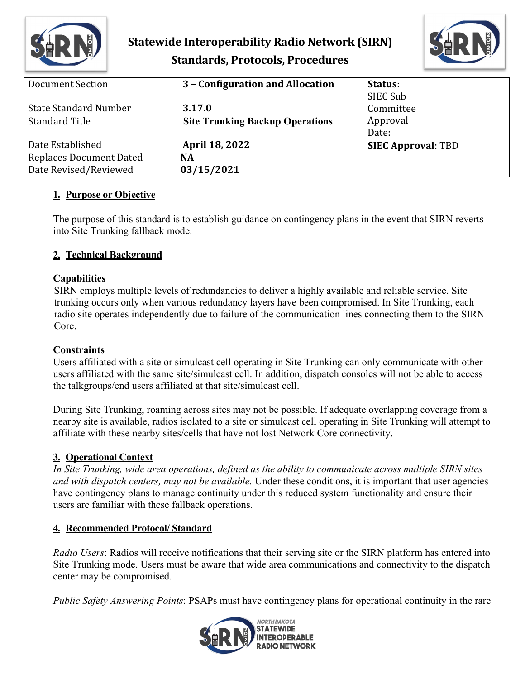

## **Statewide Interoperability Radio Network (SIRN) Standards, Protocols, Procedures**



| Document Section               | 3 - Configuration and Allocation       | Status:                   |
|--------------------------------|----------------------------------------|---------------------------|
|                                |                                        | SIEC Sub                  |
| <b>State Standard Number</b>   | 3.17.0                                 | Committee                 |
| <b>Standard Title</b>          | <b>Site Trunking Backup Operations</b> | Approval                  |
|                                |                                        | Date:                     |
| Date Established               | <b>April 18, 2022</b>                  | <b>SIEC Approval: TBD</b> |
| <b>Replaces Document Dated</b> | <b>NA</b>                              |                           |
| Date Revised/Reviewed          | 03/15/2021                             |                           |

#### **1. Purpose or Objective**

The purpose of this standard is to establish guidance on contingency plans in the event that SIRN reverts into Site Trunking fallback mode.

#### **2. Technical Background**

#### **Capabilities**

SIRN employs multiple levels of redundancies to deliver a highly available and reliable service. Site trunking occurs only when various redundancy layers have been compromised. In Site Trunking, each radio site operates independently due to failure of the communication lines connecting them to the SIRN Core.

#### **Constraints**

Users affiliated with a site or simulcast cell operating in Site Trunking can only communicate with other users affiliated with the same site/simulcast cell. In addition, dispatch consoles will not be able to access the talkgroups/end users affiliated at that site/simulcast cell.

During Site Trunking, roaming across sites may not be possible. If adequate overlapping coverage from a nearby site is available, radios isolated to a site or simulcast cell operating in Site Trunking will attempt to affiliate with these nearby sites/cells that have not lost Network Core connectivity.

#### **3. Operational Context**

*In Site Trunking, wide area operations, defined as the ability to communicate across multiple SIRN sites and with dispatch centers, may not be available.* Under these conditions, it is important that user agencies have contingency plans to manage continuity under this reduced system functionality and ensure their users are familiar with these fallback operations.

#### **4. Recommended Protocol/ Standard**

*Radio Users*: Radios will receive notifications that their serving site or the SIRN platform has entered into Site Trunking mode. Users must be aware that wide area communications and connectivity to the dispatch center may be compromised.

*Public Safety Answering Points*: PSAPs must have contingency plans for operational continuity in the rare